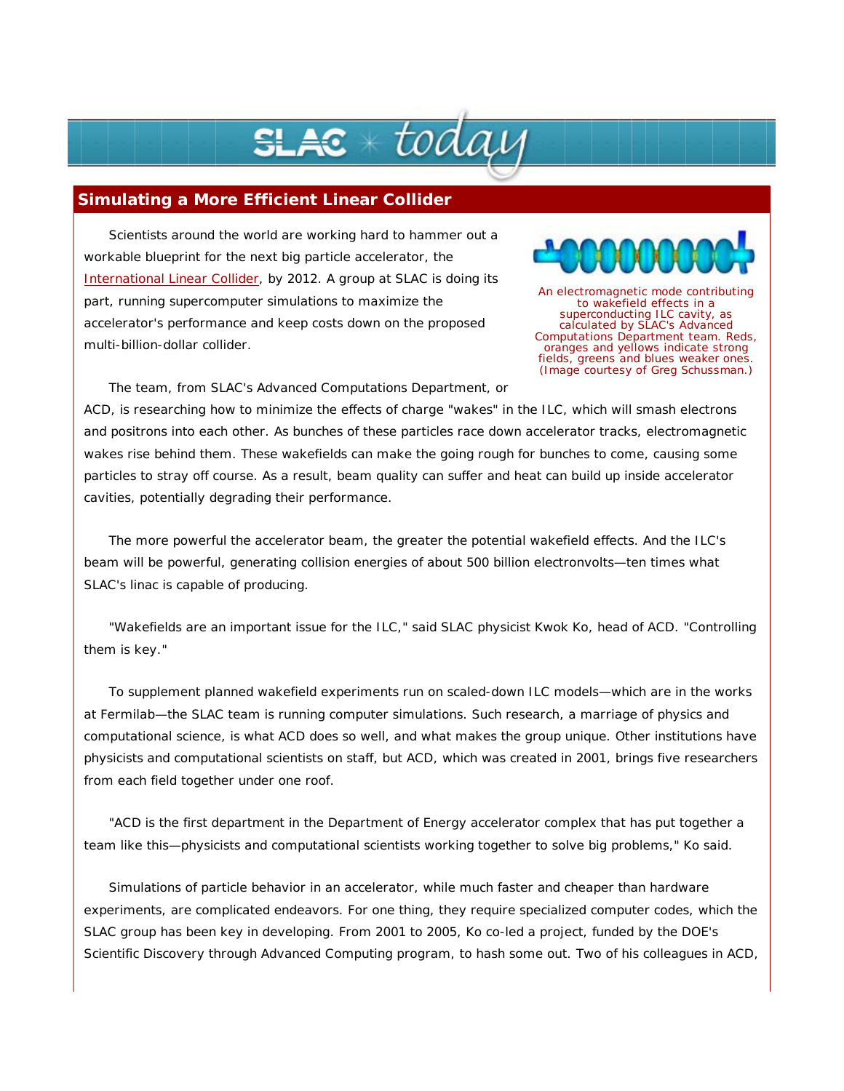## $\boldsymbol{\varepsilon}\ast$  todai

## **Simulating a More Efficient Linear Collider**

Scientists around the world are working hard to hammer out a workable blueprint for the next big particle accelerator, the International Linear Collider, by 2012. A group at SLAC is doing its part, running supercomputer simulations to maximize the accelerator's performance and keep costs down on the proposed multi-billion-dollar collider.



An electromagnetic mode contributing to wakefield effects in a superconducting ILC cavity, as calculated by SLAC's Advanced Computations Department team. Reds, oranges and yellows indicate strong fields, greens and blues weaker ones. (Image courtesy of Greg Schussman.)

The team, from SLAC's Advanced Computations Department, or

ACD, is researching how to minimize the effects of charge "wakes" in the ILC, which will smash electrons and positrons into each other. As bunches of these particles race down accelerator tracks, electromagnetic wakes rise behind them. These wakefields can make the going rough for bunches to come, causing some particles to stray off course. As a result, beam quality can suffer and heat can build up inside accelerator cavities, potentially degrading their performance.

The more powerful the accelerator beam, the greater the potential wakefield effects. And the ILC's beam will be powerful, generating collision energies of about 500 billion electronvolts—ten times what SLAC's linac is capable of producing.

"Wakefields are an important issue for the ILC," said SLAC physicist Kwok Ko, head of ACD. "Controlling them is key."

To supplement planned wakefield experiments run on scaled-down ILC models—which are in the works at Fermilab—the SLAC team is running computer simulations. Such research, a marriage of physics and computational science, is what ACD does so well, and what makes the group unique. Other institutions have physicists and computational scientists on staff, but ACD, which was created in 2001, brings five researchers from each field together under one roof.

"ACD is the first department in the Department of Energy accelerator complex that has put together a team like this—physicists and computational scientists working together to solve big problems," Ko said.

Simulations of particle behavior in an accelerator, while much faster and cheaper than hardware experiments, are complicated endeavors. For one thing, they require specialized computer codes, which the SLAC group has been key in developing. From 2001 to 2005, Ko co-led a project, funded by the DOE's Scientific Discovery through Advanced Computing program, to hash some out. Two of his colleagues in ACD,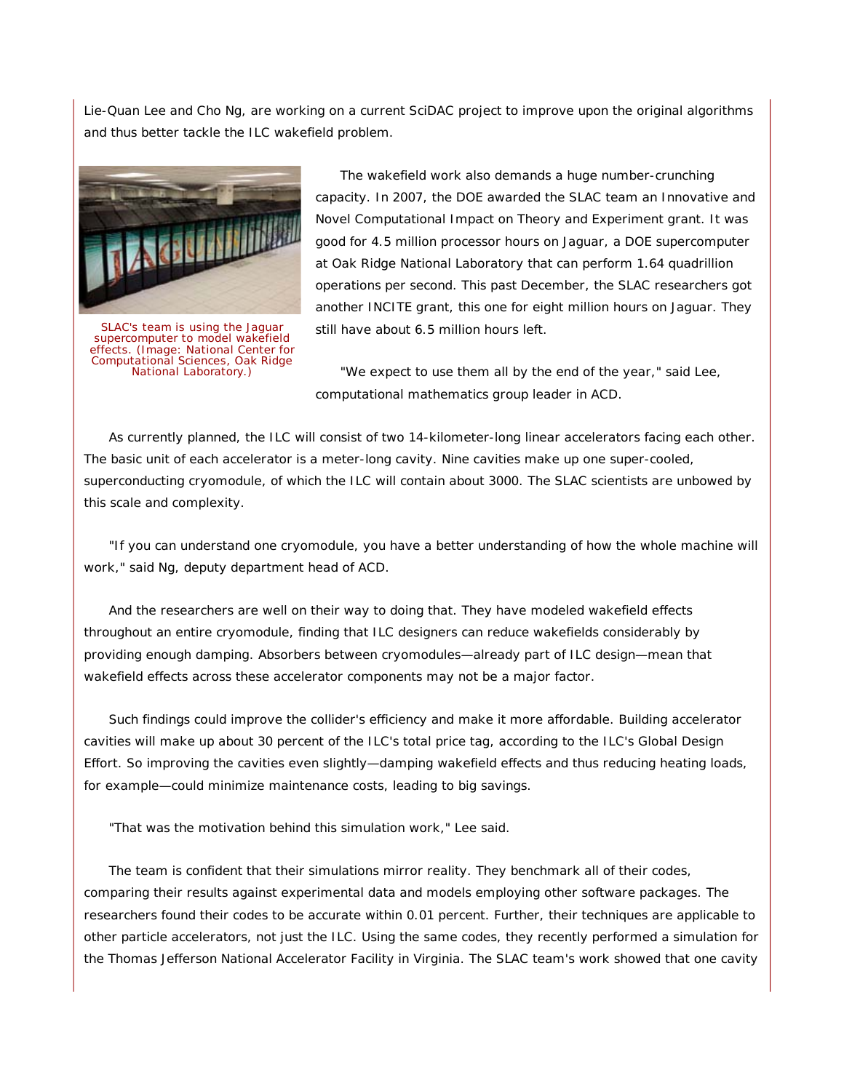Lie-Quan Lee and Cho Ng, are working on a current SciDAC project to improve upon the original algorithms and thus better tackle the ILC wakefield problem.



SLAC's team is using the Jaguar supercomputer to model wakefield effects. (Image: National Center for Computational Sciences, Oak Ridge National Laboratory.)

The wakefield work also demands a huge number-crunching capacity. In 2007, the DOE awarded the SLAC team an Innovative and Novel Computational Impact on Theory and Experiment grant. It was good for 4.5 million processor hours on Jaguar, a DOE supercomputer at Oak Ridge National Laboratory that can perform 1.64 quadrillion operations per second. This past December, the SLAC researchers got another INCITE grant, this one for eight million hours on Jaguar. They still have about 6.5 million hours left.

"We expect to use them all by the end of the year," said Lee, computational mathematics group leader in ACD.

As currently planned, the ILC will consist of two 14-kilometer-long linear accelerators facing each other. The basic unit of each accelerator is a meter-long cavity. Nine cavities make up one super-cooled, superconducting cryomodule, of which the ILC will contain about 3000. The SLAC scientists are unbowed by this scale and complexity.

"If you can understand one cryomodule, you have a better understanding of how the whole machine will work," said Ng, deputy department head of ACD.

And the researchers are well on their way to doing that. They have modeled wakefield effects throughout an entire cryomodule, finding that ILC designers can reduce wakefields considerably by providing enough damping. Absorbers between cryomodules—already part of ILC design—mean that wakefield effects across these accelerator components may not be a major factor.

Such findings could improve the collider's efficiency and make it more affordable. Building accelerator cavities will make up about 30 percent of the ILC's total price tag, according to the ILC's Global Design Effort. So improving the cavities even slightly—damping wakefield effects and thus reducing heating loads, for example—could minimize maintenance costs, leading to big savings.

"That was the motivation behind this simulation work," Lee said.

The team is confident that their simulations mirror reality. They benchmark all of their codes, comparing their results against experimental data and models employing other software packages. The researchers found their codes to be accurate within 0.01 percent. Further, their techniques are applicable to other particle accelerators, not just the ILC. Using the same codes, they recently performed a simulation for the Thomas Jefferson National Accelerator Facility in Virginia. The SLAC team's work showed that one cavity